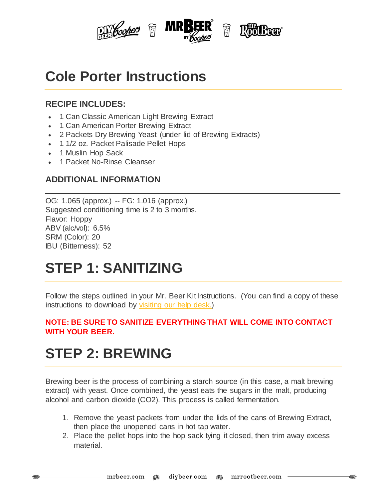

## **Cole Porter Instructions**

#### **RECIPE INCLUDES:**

- 1 Can Classic American Light Brewing Extract
- 1 Can American Porter Brewing Extract
- 2 Packets Dry Brewing Yeast (under lid of Brewing Extracts)
- 1 1/2 oz. Packet Palisade Pellet Hops
- 1 Muslin Hop Sack
- <sup>1</sup> Packet No-Rinse Cleanser

### **ADDITIONAL INFORMATION**

OG: 1.065 (approx.) -- FG: 1.016 (approx.) Suggested conditioning time is 2 to 3 months. Flavor: Hoppy ABV (alc/vol): 6.5% SRM (Color): 20 IBU (Bitterness): 52

## **STEP 1: SANITIZING**

Follow the steps outlined in your Mr. Beer Kit Instructions. (You can find a copy of these instructions to download by [visiting](http://www.mrbeer.com/help) our help desk.)

#### **NOTE: BE SURE TO SANITIZE EVERYTHING THAT WILL COME INTO CONTACT WITH YOUR BEER.**

# **STEP 2: BREWING**

Brewing beer is the process of combining a starch source (in this case, a malt brewing extract) with yeast. Once combined, the yeast eats the sugars in the malt, producing alcohol and carbon dioxide (CO2). This process is called fermentation.

- 1. Remove the yeast packets from under the lids of the cans of Brewing Extract, then place the unopened cans in hot tap water.
- 2. Place the pellet hops into the hop sack tying it closed, then trim away excess material.